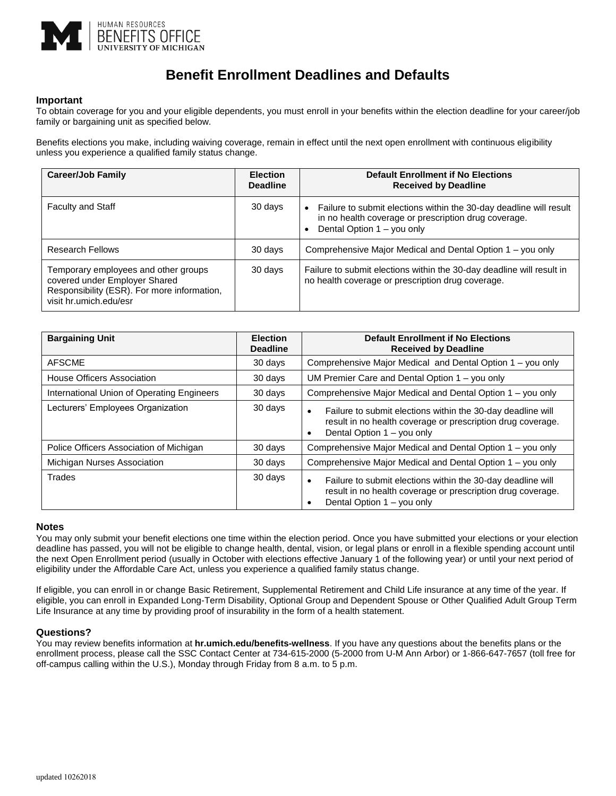

# **Benefit Enrollment Deadlines and Defaults**

## **Important**

To obtain coverage for you and your eligible dependents, you must enroll in your benefits within the election deadline for your career/job family or bargaining unit as specified below.

Benefits elections you make, including waiving coverage, remain in effect until the next open enrollment with continuous eligibility unless you experience a qualified family status change.

| <b>Career/Job Family</b>                                                                                                                       | <b>Election</b><br><b>Deadline</b> | <b>Default Enrollment if No Elections</b><br><b>Received by Deadline</b>                                                                                 |
|------------------------------------------------------------------------------------------------------------------------------------------------|------------------------------------|----------------------------------------------------------------------------------------------------------------------------------------------------------|
| <b>Faculty and Staff</b>                                                                                                                       | 30 days                            | Failure to submit elections within the 30-day deadline will result<br>in no health coverage or prescription drug coverage.<br>Dental Option 1 - you only |
| <b>Research Fellows</b>                                                                                                                        | 30 days                            | Comprehensive Major Medical and Dental Option 1 – you only                                                                                               |
| Temporary employees and other groups<br>covered under Employer Shared<br>Responsibility (ESR). For more information,<br>visit hr.umich.edu/esr | 30 days                            | Failure to submit elections within the 30-day deadline will result in<br>no health coverage or prescription drug coverage.                               |

| <b>Bargaining Unit</b>                     | <b>Election</b><br><b>Deadline</b> | <b>Default Enrollment if No Elections</b><br><b>Received by Deadline</b>                                                                                                           |
|--------------------------------------------|------------------------------------|------------------------------------------------------------------------------------------------------------------------------------------------------------------------------------|
| <b>AFSCME</b>                              | 30 days                            | Comprehensive Major Medical and Dental Option 1 – you only                                                                                                                         |
| House Officers Association                 | 30 days                            | UM Premier Care and Dental Option 1 – you only                                                                                                                                     |
| International Union of Operating Engineers | 30 days                            | Comprehensive Major Medical and Dental Option 1 – you only                                                                                                                         |
| Lecturers' Employees Organization          | 30 days                            | Failure to submit elections within the 30-day deadline will<br>$\bullet$<br>result in no health coverage or prescription drug coverage.<br>Dental Option 1 – you only<br>$\bullet$ |
| Police Officers Association of Michigan    | 30 days                            | Comprehensive Major Medical and Dental Option 1 – you only                                                                                                                         |
| Michigan Nurses Association                | 30 days                            | Comprehensive Major Medical and Dental Option 1 – you only                                                                                                                         |
| Trades                                     | 30 days                            | Failure to submit elections within the 30-day deadline will<br>$\bullet$<br>result in no health coverage or prescription drug coverage.<br>Dental Option 1 – you only<br>٠         |

### **Notes**

You may only submit your benefit elections one time within the election period. Once you have submitted your elections or your election deadline has passed, you will not be eligible to change health, dental, vision, or legal plans or enroll in a flexible spending account until the next Open Enrollment period (usually in October with elections effective January 1 of the following year) or until your next period of eligibility under the Affordable Care Act, unless you experience a qualified family status change.

If eligible, you can enroll in or change Basic Retirement, Supplemental Retirement and Child Life insurance at any time of the year. If eligible, you can enroll in Expanded Long-Term Disability, Optional Group and Dependent Spouse or Other Qualified Adult Group Term Life Insurance at any time by providing proof of insurability in the form of a health statement.

### **Questions?**

You may review benefits information at **hr.umich.edu/benefits-wellness**. If you have any questions about the benefits plans or the enrollment process, please call the SSC Contact Center at 734-615-2000 (5-2000 from U-M Ann Arbor) or 1-866-647-7657 (toll free for off-campus calling within the U.S.), Monday through Friday from 8 a.m. to 5 p.m.